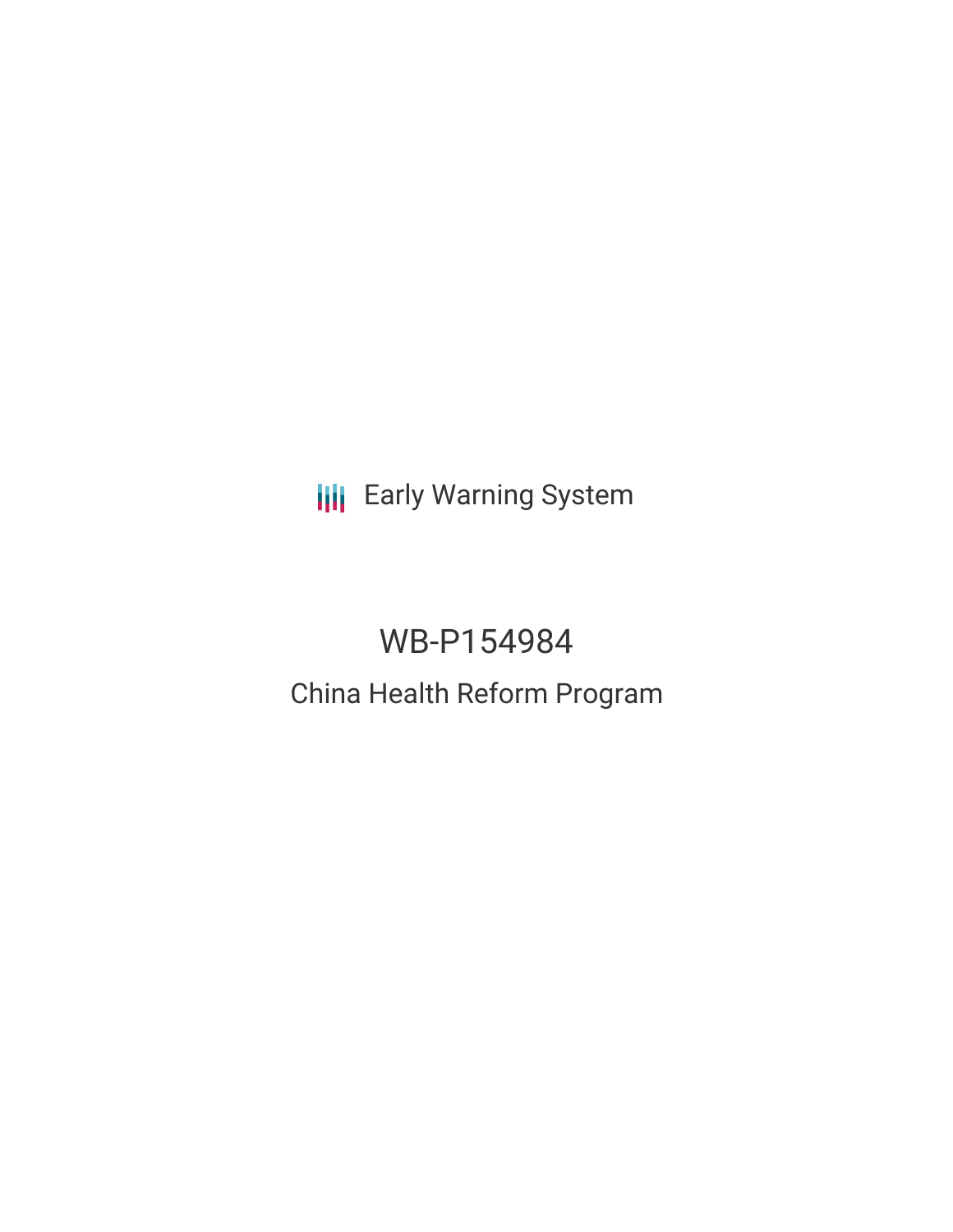**III** Early Warning System

# WB-P154984

## China Health Reform Program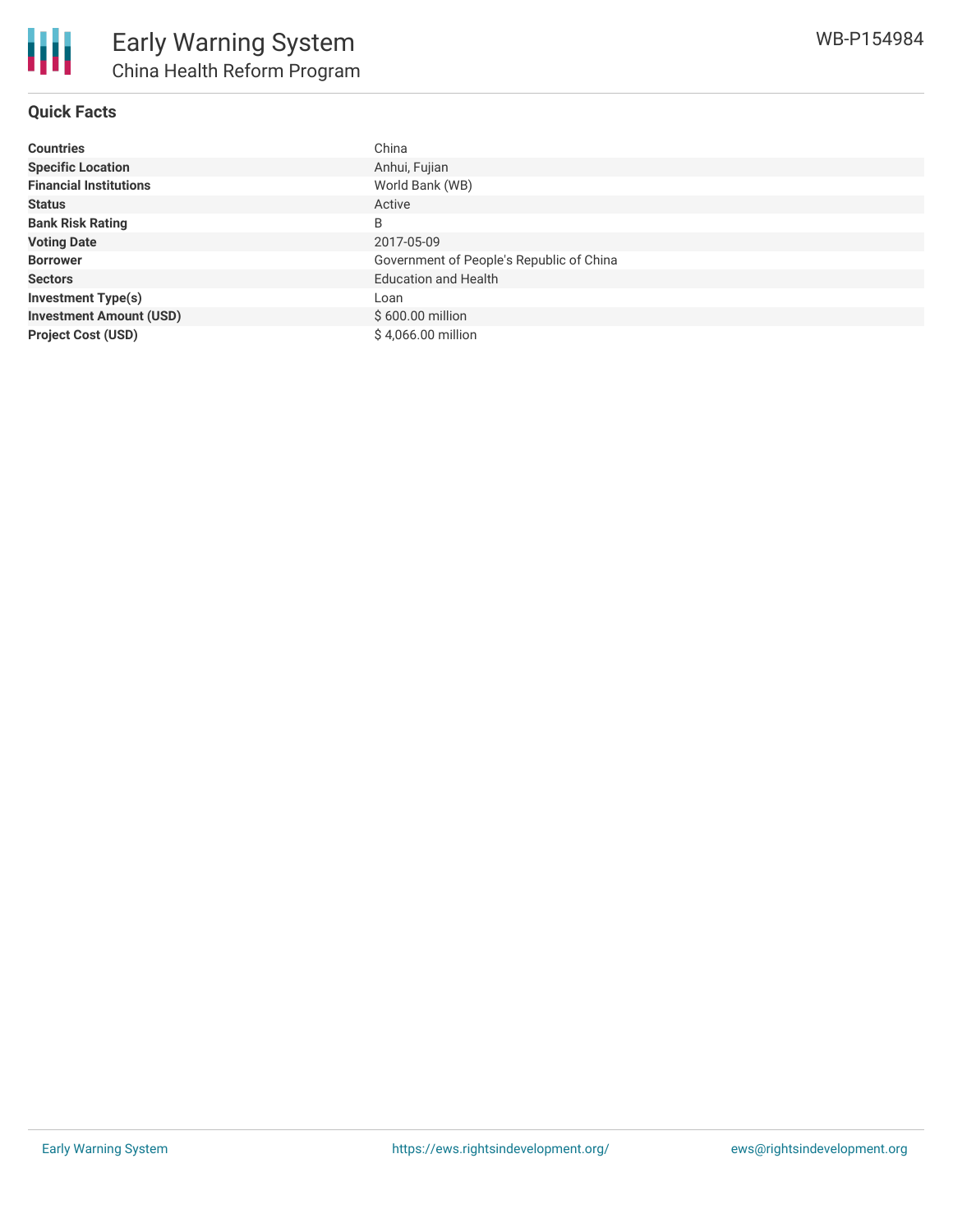### **Quick Facts**

| <b>Countries</b>               | China                                    |
|--------------------------------|------------------------------------------|
| <b>Specific Location</b>       | Anhui, Fujian                            |
| <b>Financial Institutions</b>  | World Bank (WB)                          |
| <b>Status</b>                  | Active                                   |
| <b>Bank Risk Rating</b>        | B                                        |
| <b>Voting Date</b>             | 2017-05-09                               |
| <b>Borrower</b>                | Government of People's Republic of China |
| <b>Sectors</b>                 | <b>Education and Health</b>              |
| <b>Investment Type(s)</b>      | Loan                                     |
| <b>Investment Amount (USD)</b> | $$600.00$ million                        |
| <b>Project Cost (USD)</b>      | \$4,066.00 million                       |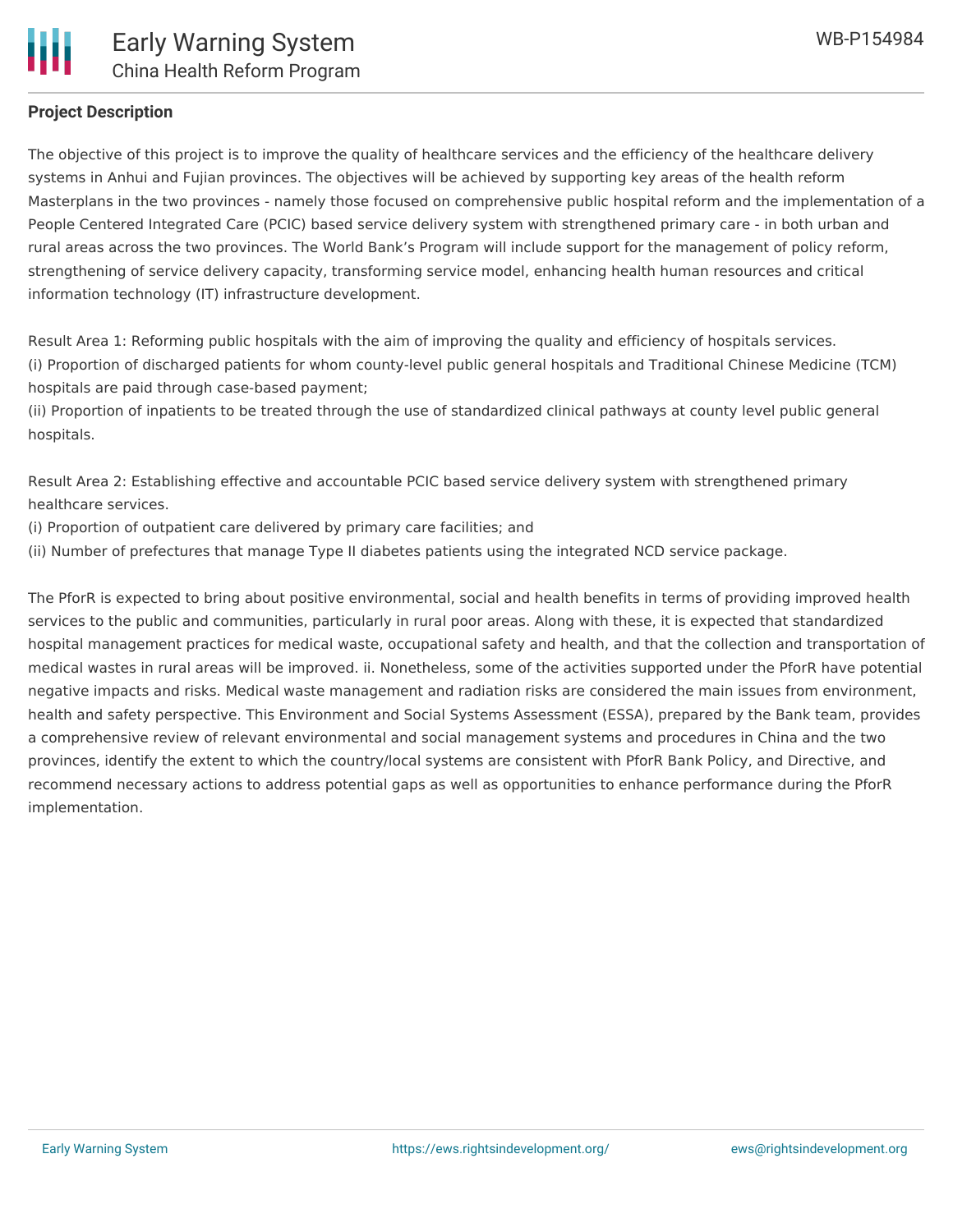#### **Project Description**

The objective of this project is to improve the quality of healthcare services and the efficiency of the healthcare delivery systems in Anhui and Fujian provinces. The objectives will be achieved by supporting key areas of the health reform Masterplans in the two provinces - namely those focused on comprehensive public hospital reform and the implementation of a People Centered Integrated Care (PCIC) based service delivery system with strengthened primary care - in both urban and rural areas across the two provinces. The World Bank's Program will include support for the management of policy reform, strengthening of service delivery capacity, transforming service model, enhancing health human resources and critical information technology (IT) infrastructure development.

Result Area 1: Reforming public hospitals with the aim of improving the quality and efficiency of hospitals services. (i) Proportion of discharged patients for whom county-level public general hospitals and Traditional Chinese Medicine (TCM) hospitals are paid through case-based payment;

(ii) Proportion of inpatients to be treated through the use of standardized clinical pathways at county level public general hospitals.

Result Area 2: Establishing effective and accountable PCIC based service delivery system with strengthened primary healthcare services.

(i) Proportion of outpatient care delivered by primary care facilities; and

(ii) Number of prefectures that manage Type II diabetes patients using the integrated NCD service package.

The PforR is expected to bring about positive environmental, social and health benefits in terms of providing improved health services to the public and communities, particularly in rural poor areas. Along with these, it is expected that standardized hospital management practices for medical waste, occupational safety and health, and that the collection and transportation of medical wastes in rural areas will be improved. ii. Nonetheless, some of the activities supported under the PforR have potential negative impacts and risks. Medical waste management and radiation risks are considered the main issues from environment, health and safety perspective. This Environment and Social Systems Assessment (ESSA), prepared by the Bank team, provides a comprehensive review of relevant environmental and social management systems and procedures in China and the two provinces, identify the extent to which the country/local systems are consistent with PforR Bank Policy, and Directive, and recommend necessary actions to address potential gaps as well as opportunities to enhance performance during the PforR implementation.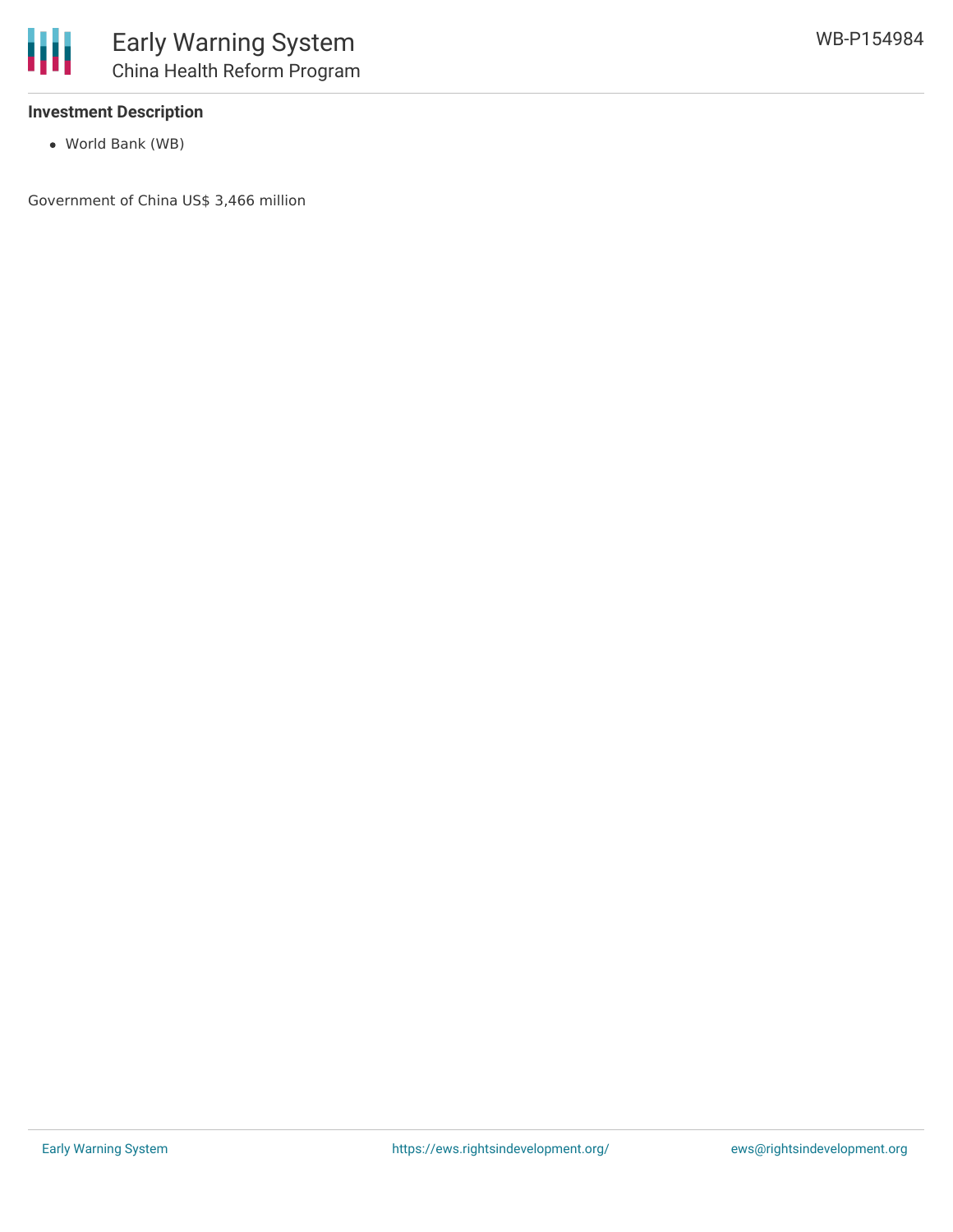

#### **Investment Description**

World Bank (WB)

Government of China US\$ 3,466 million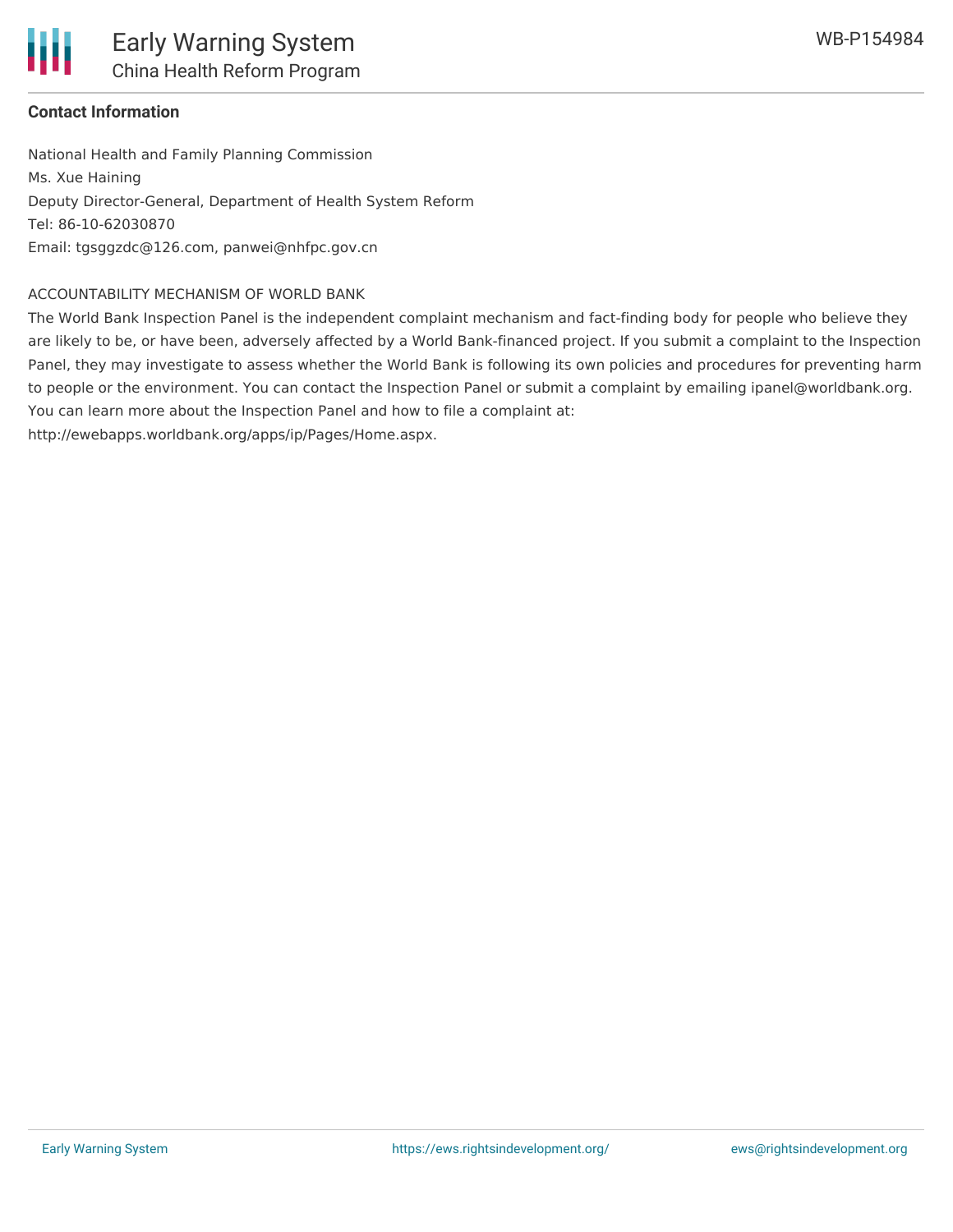

National Health and Family Planning Commission Ms. Xue Haining Deputy Director-General, Department of Health System Reform Tel: 86-10-62030870 Email: tgsggzdc@126.com, panwei@nhfpc.gov.cn

#### ACCOUNTABILITY MECHANISM OF WORLD BANK

The World Bank Inspection Panel is the independent complaint mechanism and fact-finding body for people who believe they are likely to be, or have been, adversely affected by a World Bank-financed project. If you submit a complaint to the Inspection Panel, they may investigate to assess whether the World Bank is following its own policies and procedures for preventing harm to people or the environment. You can contact the Inspection Panel or submit a complaint by emailing ipanel@worldbank.org. You can learn more about the Inspection Panel and how to file a complaint at:

http://ewebapps.worldbank.org/apps/ip/Pages/Home.aspx.